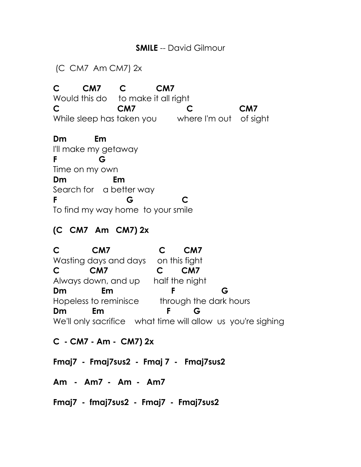## **SMILE** -- David Gilmour

(C CM7 Am CM7) 2x

**C CM7 C CM7** Would this do to make it all right **C CM7 C CM7** While sleep has taken you where I'm out of sight

**Dm Em**  I'll make my getaway **F G** Time on my own **Dm Em** Search for a better way **F G C** To find my way home to your smile

## **(C CM7 Am CM7) 2x**

**C CM7 C CM7**  Wasting days and days on this fight **C CM7 C CM7** Always down, and up half the night **Dm Em F G** Hopeless to reminisce through the dark hours **Dm Em F G** We'll only sacrifice what time will allow us you're sighing

**C - CM7 - Am - CM7) 2x** 

**Fmaj7 - Fmaj7sus2 - Fmaj 7 - Fmaj7sus2**

**Am - Am7 - Am - Am7**

**Fmaj7 - fmaj7sus2 - Fmaj7 - Fmaj7sus2**